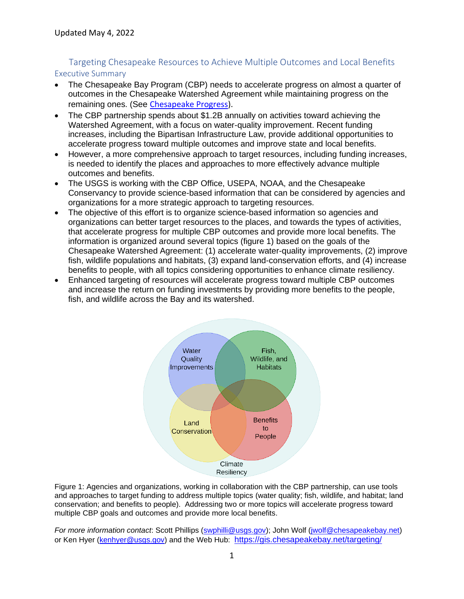## Targeting Chesapeake Resources to Achieve Multiple Outcomes and Local Benefits Executive Summary

- The Chesapeake Bay Program (CBP) needs to accelerate progress on almost a quarter of outcomes in the Chesapeake Watershed Agreement while maintaining progress on the remaining ones. (See [Chesapeake Progress\)](https://www.chesapeakeprogress.com/).
- The CBP partnership spends about \$1.2B annually on activities toward achieving the Watershed Agreement, with a focus on water-quality improvement. Recent funding increases, including the Bipartisan Infrastructure Law, provide additional opportunities to accelerate progress toward multiple outcomes and improve state and local benefits.
- However, a more comprehensive approach to target resources, including funding increases, is needed to identify the places and approaches to more effectively advance multiple outcomes and benefits.
- The USGS is working with the CBP Office, USEPA, NOAA, and the Chesapeake Conservancy to provide science-based information that can be considered by agencies and organizations for a more strategic approach to targeting resources.
- The objective of this effort is to organize science-based information so agencies and organizations can better target resources to the places, and towards the types of activities, that accelerate progress for multiple CBP outcomes and provide more local benefits. The information is organized around several topics (figure 1) based on the goals of the Chesapeake Watershed Agreement: (1) accelerate water-quality improvements, (2) improve fish, wildlife populations and habitats, (3) expand land-conservation efforts, and (4) increase benefits to people, with all topics considering opportunities to enhance climate resiliency.
- Enhanced targeting of resources will accelerate progress toward multiple CBP outcomes and increase the return on funding investments by providing more benefits to the people, fish, and wildlife across the Bay and its watershed.



Figure 1: Agencies and organizations, working in collaboration with the CBP partnership, can use tools and approaches to target funding to address multiple topics (water quality; fish, wildlife, and habitat; land conservation; and benefits to people). Addressing two or more topics will accelerate progress toward multiple CBP goals and outcomes and provide more local benefits.

*For more information contact*: Scott Phillips [\(swphilli@usgs.gov\)](mailto:swphilli@usgs.gov); John Wolf [\(jwolf@chesapeakebay.net\)](mailto:jwolf@chesapeakebay.net) or Ken Hyer [\(kenhyer@usgs.gov\)](mailto:kenhyer@usgs.gov) and the Web Hub: <https://gis.chesapeakebay.net/targeting/>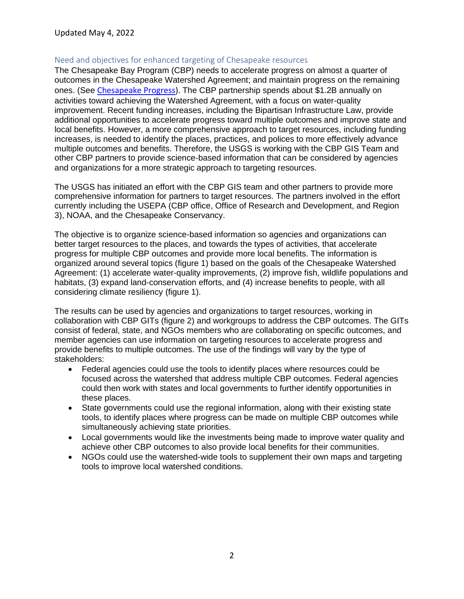#### Need and objectives for enhanced targeting of Chesapeake resources

The Chesapeake Bay Program (CBP) needs to accelerate progress on almost a quarter of outcomes in the Chesapeake Watershed Agreement; and maintain progress on the remaining ones. (See [Chesapeake Progress\)](https://www.chesapeakeprogress.com/). The CBP partnership spends about \$1.2B annually on activities toward achieving the Watershed Agreement, with a focus on water-quality improvement. Recent funding increases, including the Bipartisan Infrastructure Law, provide additional opportunities to accelerate progress toward multiple outcomes and improve state and local benefits. However, a more comprehensive approach to target resources, including funding increases, is needed to identify the places, practices, and polices to more effectively advance multiple outcomes and benefits. Therefore, the USGS is working with the CBP GIS Team and other CBP partners to provide science-based information that can be considered by agencies and organizations for a more strategic approach to targeting resources.

The USGS has initiated an effort with the CBP GIS team and other partners to provide more comprehensive information for partners to target resources. The partners involved in the effort currently including the USEPA (CBP office, Office of Research and Development, and Region 3), NOAA, and the Chesapeake Conservancy.

The objective is to organize science-based information so agencies and organizations can better target resources to the places, and towards the types of activities, that accelerate progress for multiple CBP outcomes and provide more local benefits. The information is organized around several topics (figure 1) based on the goals of the Chesapeake Watershed Agreement: (1) accelerate water-quality improvements, (2) improve fish, wildlife populations and habitats, (3) expand land-conservation efforts, and (4) increase benefits to people, with all considering climate resiliency (figure 1).

The results can be used by agencies and organizations to target resources, working in collaboration with CBP GITs (figure 2) and workgroups to address the CBP outcomes. The GITs consist of federal, state, and NGOs members who are collaborating on specific outcomes, and member agencies can use information on targeting resources to accelerate progress and provide benefits to multiple outcomes. The use of the findings will vary by the type of stakeholders:

- Federal agencies could use the tools to identify places where resources could be focused across the watershed that address multiple CBP outcomes. Federal agencies could then work with states and local governments to further identify opportunities in these places.
- State governments could use the regional information, along with their existing state tools, to identify places where progress can be made on multiple CBP outcomes while simultaneously achieving state priorities.
- Local governments would like the investments being made to improve water quality and achieve other CBP outcomes to also provide local benefits for their communities.
- NGOs could use the watershed-wide tools to supplement their own maps and targeting tools to improve local watershed conditions.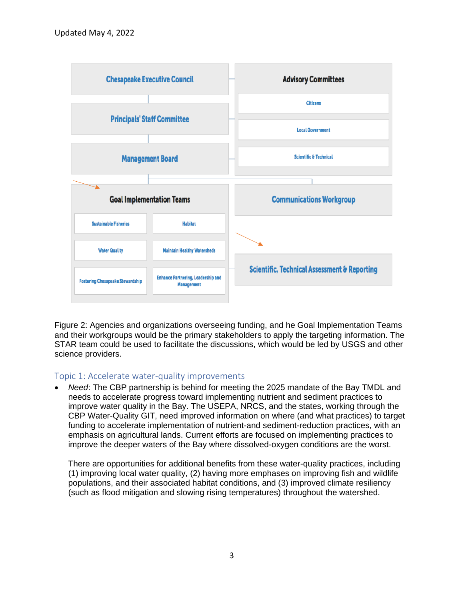

Figure 2: Agencies and organizations overseeing funding, and he Goal Implementation Teams and their workgroups would be the primary stakeholders to apply the targeting information. The STAR team could be used to facilitate the discussions, which would be led by USGS and other science providers.

### Topic 1: Accelerate water-quality improvements

• *Need*: The CBP partnership is behind for meeting the 2025 mandate of the Bay TMDL and needs to accelerate progress toward implementing nutrient and sediment practices to improve water quality in the Bay. The USEPA, NRCS, and the states, working through the CBP Water-Quality GIT, need improved information on where (and what practices) to target funding to accelerate implementation of nutrient-and sediment-reduction practices, with an emphasis on agricultural lands. Current efforts are focused on implementing practices to improve the deeper waters of the Bay where dissolved-oxygen conditions are the worst.

There are opportunities for additional benefits from these water-quality practices, including (1) improving local water quality, (2) having more emphases on improving fish and wildlife populations, and their associated habitat conditions, and (3) improved climate resiliency (such as flood mitigation and slowing rising temperatures) throughout the watershed.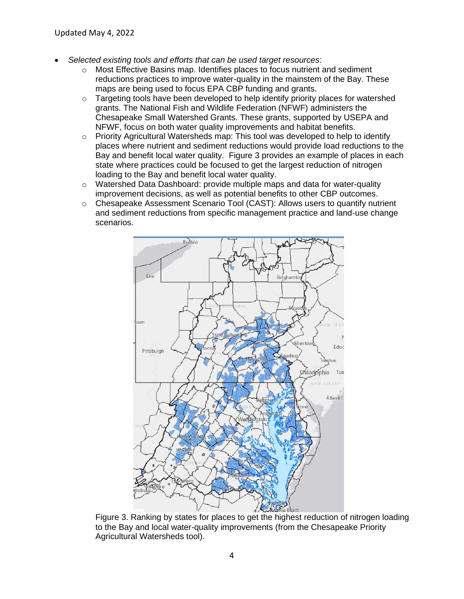- *Selected existing tools and efforts that can be used target resources*:
	- $\circ$  Most Effective Basins map. Identifies places to focus nutrient and sediment reductions practices to improve water-quality in the mainstem of the Bay. These maps are being used to focus EPA CBP funding and grants.
	- $\circ$  Targeting tools have been developed to help identify priority places for watershed grants. The National Fish and Wildlife Federation (NFWF) administers the Chesapeake Small Watershed Grants. These grants, supported by USEPA and NFWF, focus on both water quality improvements and habitat benefits.
	- $\circ$  Priority Agricultural Watersheds map: This tool was developed to help to identify places where nutrient and sediment reductions would provide load reductions to the Bay and benefit local water quality. Figure 3 provides an example of places in each state where practices could be focused to get the largest reduction of nitrogen loading to the Bay and benefit local water quality.
	- $\circ$  Watershed Data Dashboard: provide multiple maps and data for water-quality improvement decisions, as well as potential benefits to other CBP outcomes.
	- $\circ$  Chesapeake Assessment Scenario Tool (CAST): Allows users to quantify nutrient and sediment reductions from specific management practice and land-use change scenarios.



Figure 3. Ranking by states for places to get the highest reduction of nitrogen loading to the Bay and local water-quality improvements (from the Chesapeake Priority Agricultural Watersheds tool).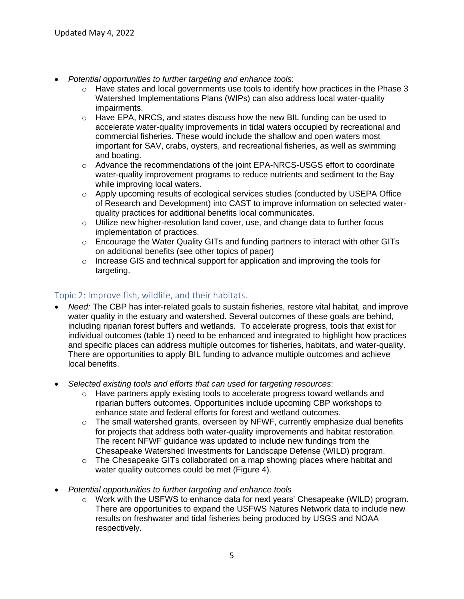- *Potential opportunities to further targeting and enhance tools*:
	- $\circ$  Have states and local governments use tools to identify how practices in the Phase 3 Watershed Implementations Plans (WIPs) can also address local water-quality impairments.
	- $\circ$  Have EPA, NRCS, and states discuss how the new BIL funding can be used to accelerate water-quality improvements in tidal waters occupied by recreational and commercial fisheries. These would include the shallow and open waters most important for SAV, crabs, oysters, and recreational fisheries, as well as swimming and boating.
	- o Advance the recommendations of the joint EPA-NRCS-USGS effort to coordinate water-quality improvement programs to reduce nutrients and sediment to the Bay while improving local waters.
	- $\circ$  Apply upcoming results of ecological services studies (conducted by USEPA Office of Research and Development) into CAST to improve information on selected waterquality practices for additional benefits local communicates.
	- $\circ$  Utilize new higher-resolution land cover, use, and change data to further focus implementation of practices.
	- $\circ$  Encourage the Water Quality GITs and funding partners to interact with other GITs on additional benefits (see other topics of paper)
	- $\circ$  Increase GIS and technical support for application and improving the tools for targeting.

# Topic 2: Improve fish, wildlife, and their habitats.

- *Need:* The CBP has inter-related goals to sustain fisheries, restore vital habitat, and improve water quality in the estuary and watershed. Several outcomes of these goals are behind, including riparian forest buffers and wetlands. To accelerate progress, tools that exist for individual outcomes (table 1) need to be enhanced and integrated to highlight how practices and specific places can address multiple outcomes for fisheries, habitats, and water-quality. There are opportunities to apply BIL funding to advance multiple outcomes and achieve local benefits.
- *Selected existing tools and efforts that can used for targeting resources*:
	- $\circ$  Have partners apply existing tools to accelerate progress toward wetlands and riparian buffers outcomes. Opportunities include upcoming CBP workshops to enhance state and federal efforts for forest and wetland outcomes.
	- $\circ$  The small watershed grants, overseen by NFWF, currently emphasize dual benefits for projects that address both water-quality improvements and habitat restoration. The recent NFWF guidance was updated to include new fundings from the Chesapeake Watershed Investments for Landscape Defense (WILD) program.
	- $\circ$  The Chesapeake GITs collaborated on a map showing places where habitat and water quality outcomes could be met (Figure 4).
- *Potential opportunities to further targeting and enhance tools* 
	- $\circ$  Work with the USFWS to enhance data for next years' Chesapeake (WILD) program. There are opportunities to expand the USFWS Natures Network data to include new results on freshwater and tidal fisheries being produced by USGS and NOAA respectively.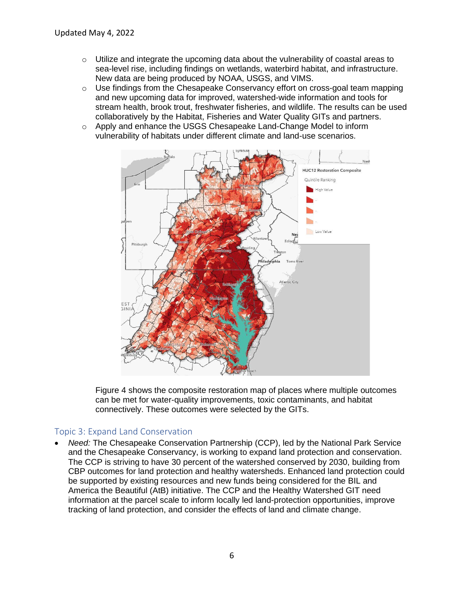- $\circ$  Utilize and integrate the upcoming data about the vulnerability of coastal areas to sea-level rise, including findings on wetlands, waterbird habitat, and infrastructure. New data are being produced by NOAA, USGS, and VIMS.
- $\circ$  Use findings from the Chesapeake Conservancy effort on cross-goal team mapping and new upcoming data for improved, watershed-wide information and tools for stream health, brook trout, freshwater fisheries, and wildlife. The results can be used collaboratively by the Habitat, Fisheries and Water Quality GITs and partners.
- o Apply and enhance the USGS Chesapeake Land-Change Model to inform vulnerability of habitats under different climate and land-use scenarios.



Figure 4 shows the composite restoration map of places where multiple outcomes can be met for water-quality improvements, toxic contaminants, and habitat connectively. These outcomes were selected by the GITs.

### Topic 3: Expand Land Conservation

• *Need:* The Chesapeake Conservation Partnership (CCP), led by the National Park Service and the Chesapeake Conservancy, is working to expand land protection and conservation. The CCP is striving to have 30 percent of the watershed conserved by 2030, building from CBP outcomes for land protection and healthy watersheds. Enhanced land protection could be supported by existing resources and new funds being considered for the BIL and America the Beautiful (AtB) initiative. The CCP and the Healthy Watershed GIT need information at the parcel scale to inform locally led land-protection opportunities, improve tracking of land protection, and consider the effects of land and climate change.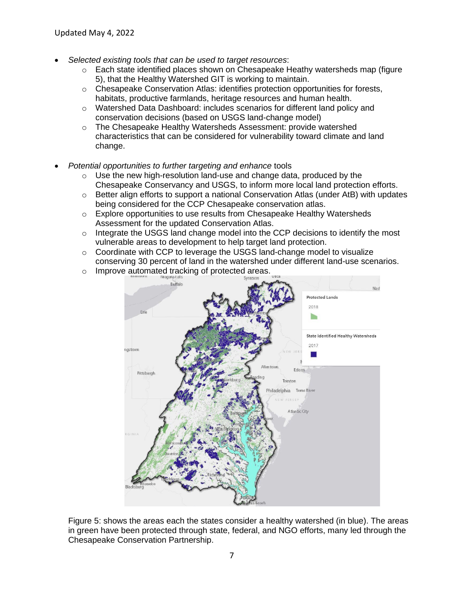- *Selected existing tools that can be used to target resources*:
	- $\circ$  Each state identified places shown on Chesapeake Heathy watersheds map (figure 5), that the Healthy Watershed GIT is working to maintain.
	- $\circ$  Chesapeake Conservation Atlas: identifies protection opportunities for forests, habitats, productive farmlands, heritage resources and human health.
	- o Watershed Data Dashboard: includes scenarios for different land policy and conservation decisions (based on USGS land-change model)
	- o The Chesapeake Healthy Watersheds Assessment: provide watershed characteristics that can be considered for vulnerability toward climate and land change.
- *Potential opportunities to further targeting and enhance* tools
	- o Use the new high-resolution land-use and change data, produced by the Chesapeake Conservancy and USGS, to inform more local land protection efforts.
	- $\circ$  Better align efforts to support a national Conservation Atlas (under AtB) with updates being considered for the CCP Chesapeake conservation atlas.
	- $\circ$  Explore opportunities to use results from Chesapeake Healthy Watersheds Assessment for the updated Conservation Atlas.
	- $\circ$  Integrate the USGS land change model into the CCP decisions to identify the most vulnerable areas to development to help target land protection.
	- $\circ$  Coordinate with CCP to leverage the USGS land-change model to visualize conserving 30 percent of land in the watershed under different land-use scenarios.
	- o Improve automated tracking of protected areas.



Figure 5: shows the areas each the states consider a healthy watershed (in blue). The areas in green have been protected through state, federal, and NGO efforts, many led through the Chesapeake Conservation Partnership.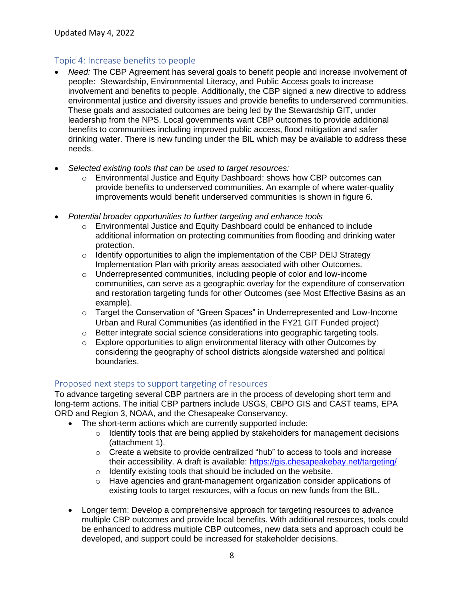#### Topic 4: Increase benefits to people

- *Need:* The CBP Agreement has several goals to benefit people and increase involvement of people: Stewardship, Environmental Literacy, and Public Access goals to increase involvement and benefits to people. Additionally, the CBP signed a new directive to address environmental justice and diversity issues and provide benefits to underserved communities. These goals and associated outcomes are being led by the Stewardship GIT, under leadership from the NPS. Local governments want CBP outcomes to provide additional benefits to communities including improved public access, flood mitigation and safer drinking water. There is new funding under the BIL which may be available to address these needs.
- *Selected existing tools that can be used to target resources:*
	- o Environmental Justice and Equity Dashboard: shows how CBP outcomes can provide benefits to underserved communities. An example of where water-quality improvements would benefit underserved communities is shown in figure 6.
- *Potential broader opportunities to further targeting and enhance tools* 
	- $\circ$  Environmental Justice and Equity Dashboard could be enhanced to include additional information on protecting communities from flooding and drinking water protection.
	- $\circ$  Identify opportunities to align the implementation of the CBP DEIJ Strategy Implementation Plan with priority areas associated with other Outcomes.
	- $\circ$  Underrepresented communities, including people of color and low-income communities, can serve as a geographic overlay for the expenditure of conservation and restoration targeting funds for other Outcomes (see Most Effective Basins as an example).
	- $\circ$  Target the Conservation of "Green Spaces" in Underrepresented and Low-Income Urban and Rural Communities (as identified in the FY21 GIT Funded project)
	- o Better integrate social science considerations into geographic targeting tools.
	- o Explore opportunities to align environmental literacy with other Outcomes by considering the geography of school districts alongside watershed and political boundaries.

#### Proposed next steps to support targeting of resources

To advance targeting several CBP partners are in the process of developing short term and long-term actions. The initial CBP partners include USGS, CBPO GIS and CAST teams, EPA ORD and Region 3, NOAA, and the Chesapeake Conservancy.

- The short-term actions which are currently supported include:
	- o Identify tools that are being applied by stakeholders for management decisions (attachment 1).
	- $\circ$  Create a website to provide centralized "hub" to access to tools and increase their accessibility. A draft is available:<https://gis.chesapeakebay.net/targeting/>
	- o Identify existing tools that should be included on the website.
	- $\circ$  Have agencies and grant-management organization consider applications of existing tools to target resources, with a focus on new funds from the BIL.
- Longer term: Develop a comprehensive approach for targeting resources to advance multiple CBP outcomes and provide local benefits. With additional resources, tools could be enhanced to address multiple CBP outcomes, new data sets and approach could be developed, and support could be increased for stakeholder decisions.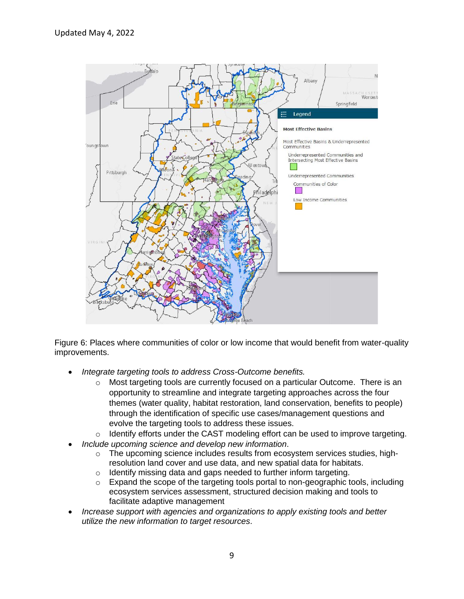

Figure 6: Places where communities of color or low income that would benefit from water-quality improvements.

- *Integrate targeting tools to address Cross-Outcome benefits.*
	- o Most targeting tools are currently focused on a particular Outcome. There is an opportunity to streamline and integrate targeting approaches across the four themes (water quality, habitat restoration, land conservation, benefits to people) through the identification of specific use cases/management questions and evolve the targeting tools to address these issues.
	- $\circ$  Identify efforts under the CAST modeling effort can be used to improve targeting.
- *Include upcoming science and develop new information*.
	- $\circ$  The upcoming science includes results from ecosystem services studies, highresolution land cover and use data, and new spatial data for habitats.
	- $\circ$  Identify missing data and gaps needed to further inform targeting.
	- o Expand the scope of the targeting tools portal to non-geographic tools, including ecosystem services assessment, structured decision making and tools to facilitate adaptive management
- *Increase support with agencies and organizations to apply existing tools and better utilize the new information to target resources*.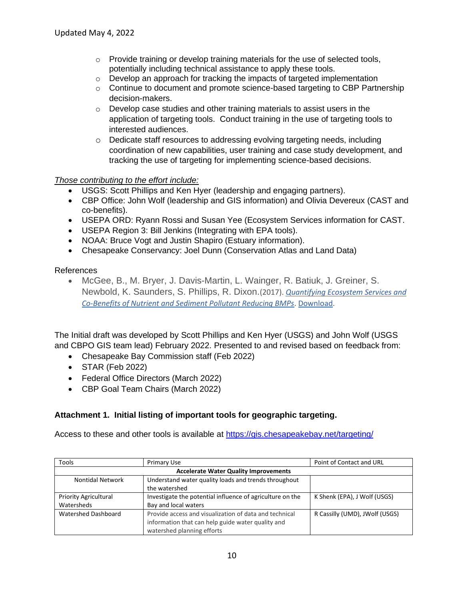- $\circ$  Provide training or develop training materials for the use of selected tools, potentially including technical assistance to apply these tools.
- o Develop an approach for tracking the impacts of targeted implementation
- $\circ$  Continue to document and promote science-based targeting to CBP Partnership decision-makers.
- o Develop case studies and other training materials to assist users in the application of targeting tools. Conduct training in the use of targeting tools to interested audiences.
- o Dedicate staff resources to addressing evolving targeting needs, including coordination of new capabilities, user training and case study development, and tracking the use of targeting for implementing science-based decisions.

#### *Those contributing to the effort include:*

- USGS: Scott Phillips and Ken Hyer (leadership and engaging partners).
- CBP Office: John Wolf (leadership and GIS information) and Olivia Devereux (CAST and co-benefits).
- USEPA ORD: Ryann Rossi and Susan Yee (Ecosystem Services information for CAST.
- USEPA Region 3: Bill Jenkins (Integrating with EPA tools).
- NOAA: Bruce Vogt and Justin Shapiro (Estuary information).
- Chesapeake Conservancy: Joel Dunn (Conservation Atlas and Land Data)

References

• McGee, B., M. Bryer, J. Davis-Martin, L. Wainger, R. Batiuk, J. Greiner, S. Newbold, K. Saunders, S. Phillips, R. Dixon.(2017). *[Quantifying Ecosystem Services and](https://www.chesapeake.org/stac/document-library/quantifying-ecosystem-services-and-co-benefits-of-nutrient-and-sediment-pollutant-reducing-bmps/)  [Co-Benefits of Nutrient and Sediment Pollutant Reducing BMPs](https://www.chesapeake.org/stac/document-library/quantifying-ecosystem-services-and-co-benefits-of-nutrient-and-sediment-pollutant-reducing-bmps/)*. [Download.](http://www.chesapeake.org/pubs/381_McGee2017.pdf)

The Initial draft was developed by Scott Phillips and Ken Hyer (USGS) and John Wolf (USGS and CBPO GIS team lead) February 2022. Presented to and revised based on feedback from:

- Chesapeake Bay Commission staff (Feb 2022)
- STAR (Feb 2022)
- Federal Office Directors (March 2022)
- CBP Goal Team Chairs (March 2022)

### **Attachment 1. Initial listing of important tools for geographic targeting.**

Access to these and other tools is available at<https://gis.chesapeakebay.net/targeting/>

| Tools                                        | Primary Use                                               | Point of Contact and URL       |  |
|----------------------------------------------|-----------------------------------------------------------|--------------------------------|--|
| <b>Accelerate Water Quality Improvements</b> |                                                           |                                |  |
| Nontidal Network                             | Understand water quality loads and trends throughout      |                                |  |
|                                              | the watershed                                             |                                |  |
| <b>Priority Agricultural</b>                 | Investigate the potential influence of agriculture on the | K Shenk (EPA), J Wolf (USGS)   |  |
| Watersheds                                   | Bay and local waters                                      |                                |  |
| Watershed Dashboard                          | Provide access and visualization of data and technical    | R Cassilly (UMD), JWolf (USGS) |  |
|                                              | information that can help guide water quality and         |                                |  |
|                                              | watershed planning efforts                                |                                |  |